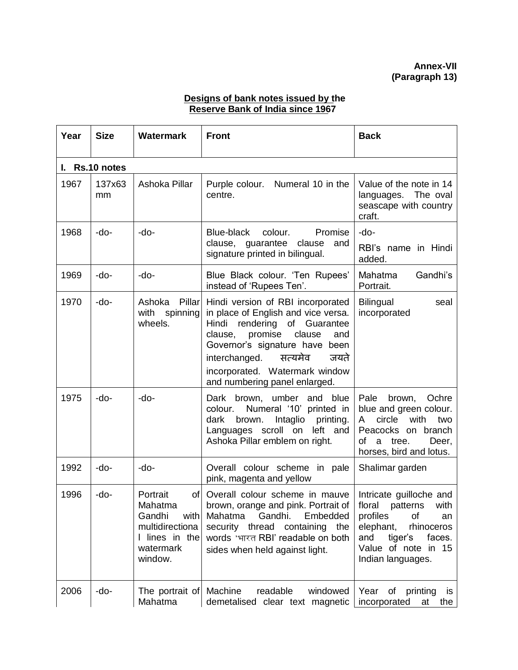## **Designs of bank notes issued by the Reserve Bank of India since 1967**

| Year | <b>Size</b>             | <b>Watermark</b>                                                                                   | <b>Front</b>                                                                                                                                                                                                                                                                             | <b>Back</b>                                                                                                                                                |  |  |  |
|------|-------------------------|----------------------------------------------------------------------------------------------------|------------------------------------------------------------------------------------------------------------------------------------------------------------------------------------------------------------------------------------------------------------------------------------------|------------------------------------------------------------------------------------------------------------------------------------------------------------|--|--|--|
| L.   | Rs.10 notes             |                                                                                                    |                                                                                                                                                                                                                                                                                          |                                                                                                                                                            |  |  |  |
| 1967 | 137x63<br><sub>mm</sub> | Ashoka Pillar                                                                                      | Purple colour. Numeral 10 in the<br>centre.                                                                                                                                                                                                                                              | Value of the note in 14<br>languages. The oval<br>seascape with country<br>craft.                                                                          |  |  |  |
| 1968 | -do-                    | -do-                                                                                               | Blue-black<br>colour.<br>Promise<br>clause, guarantee clause<br>and<br>signature printed in bilingual.                                                                                                                                                                                   | -do-<br>RBI's name in Hindi<br>added.                                                                                                                      |  |  |  |
| 1969 | -do-                    | -do-                                                                                               | Blue Black colour. 'Ten Rupees'<br>instead of 'Rupees Ten'.                                                                                                                                                                                                                              | Mahatma<br>Gandhi's<br>Portrait.                                                                                                                           |  |  |  |
| 1970 | -do-                    | Ashoka<br>Pillar<br>with<br>spinning<br>wheels.                                                    | Hindi version of RBI incorporated<br>in place of English and vice versa.<br>Hindi<br>rendering of Guarantee<br>promise<br>clause<br>and<br>clause,<br>Governor's signature have been<br>interchanged. सत्यमेव<br>जयते<br>incorporated. Watermark window<br>and numbering panel enlarged. | <b>Bilingual</b><br>seal<br>incorporated                                                                                                                   |  |  |  |
| 1975 | -do-                    | -do-                                                                                               | Dark brown, umber and blue<br>Numeral '10' printed in<br>colour.<br>dark<br>brown.<br>Intaglio printing.<br>Languages scroll on<br>left and<br>Ashoka Pillar emblem on right.                                                                                                            | Pale<br>brown,<br>Ochre<br>blue and green colour.<br>circle<br>with<br>two<br>A<br>Peacocks on branch<br>a tree.<br>Deer,<br>of<br>horses, bird and lotus. |  |  |  |
| 1992 | -do-                    | -do-                                                                                               | Overall colour scheme in pale<br>pink, magenta and yellow                                                                                                                                                                                                                                | Shalimar garden                                                                                                                                            |  |  |  |
| 1996 | -do-                    | Portrait<br>Mahatma<br>Gandhi<br>with<br>multidirectiona<br>I lines in the<br>watermark<br>window. | of Overall colour scheme in mauve   Intricate guilloche and<br>brown, orange and pink. Portrait of   floral patterns with<br>Gandhi.<br>Mahatma<br>Embedded<br>security thread<br>containing<br>the<br>words 'भारत RBI' readable on both<br>sides when held against light.               | profiles<br>0f<br>an<br>elephant,<br>rhinoceros<br>tiger's<br>faces.<br>and<br>Value of note in 15<br>Indian languages.                                    |  |  |  |
| 2006 | -do-                    | The portrait of   Machine<br>Mahatma                                                               | readable<br>windowed<br>demetalised clear text magnetic                                                                                                                                                                                                                                  | Year<br>of printing<br><b>is</b><br>incorporated<br>the<br>at                                                                                              |  |  |  |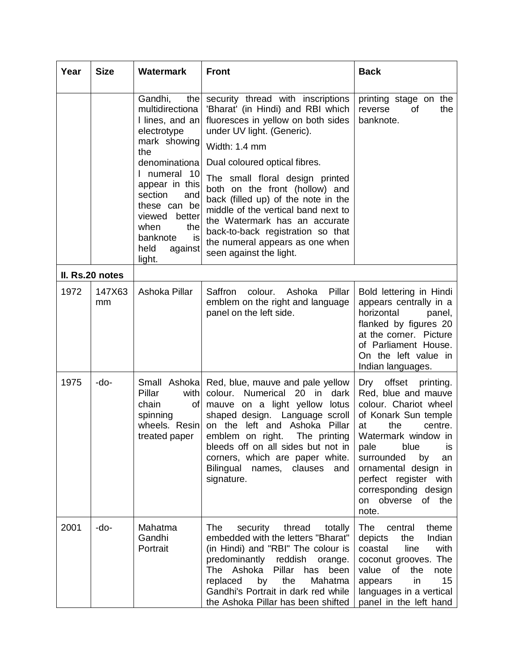| Year | <b>Size</b>     | <b>Watermark</b>                                                                                                                                                                                                                                                     | <b>Front</b>                                                                                                                                                                                                                                                                                                                                                                                                                                                                        | <b>Back</b>                                                                                                                                                                                                                                                                                              |
|------|-----------------|----------------------------------------------------------------------------------------------------------------------------------------------------------------------------------------------------------------------------------------------------------------------|-------------------------------------------------------------------------------------------------------------------------------------------------------------------------------------------------------------------------------------------------------------------------------------------------------------------------------------------------------------------------------------------------------------------------------------------------------------------------------------|----------------------------------------------------------------------------------------------------------------------------------------------------------------------------------------------------------------------------------------------------------------------------------------------------------|
|      |                 | Gandhi,<br>the<br>multidirectiona<br>I lines, and an<br>electrotype<br>mark showing<br>the<br>denominationa<br>numeral<br>- 10<br>appear in this<br>section<br>and<br>these can be<br>viewed<br>better<br>when<br>the<br>banknote<br>is<br>held<br>against<br>light. | security thread with inscriptions<br>'Bharat' (in Hindi) and RBI which<br>fluoresces in yellow on both sides<br>under UV light. (Generic).<br>Width: 1.4 mm<br>Dual coloured optical fibres.<br>The small floral design printed<br>both on the front (hollow) and<br>back (filled up) of the note in the<br>middle of the vertical band next to<br>the Watermark has an accurate<br>back-to-back registration so that<br>the numeral appears as one when<br>seen against the light. | printing stage on the<br>the<br>reverse<br>0f<br>banknote.                                                                                                                                                                                                                                               |
|      | II. Rs.20 notes |                                                                                                                                                                                                                                                                      |                                                                                                                                                                                                                                                                                                                                                                                                                                                                                     |                                                                                                                                                                                                                                                                                                          |
| 1972 | 147X63<br>mm    | Ashoka Pillar                                                                                                                                                                                                                                                        | Saffron<br>colour.<br>Ashoka<br>Pillar<br>emblem on the right and language<br>panel on the left side.                                                                                                                                                                                                                                                                                                                                                                               | Bold lettering in Hindi<br>appears centrally in a<br>horizontal<br>panel,<br>flanked by figures 20<br>at the corner. Picture<br>of Parliament House.<br>On the left value in<br>Indian languages.                                                                                                        |
| 1975 | -do-            | Small Ashoka<br>Pillar<br>with<br>chain<br>Οf<br>spinning<br>wheels. Resin<br>treated paper                                                                                                                                                                          | Red, blue, mauve and pale yellow<br>colour.<br>Numerical<br>20<br>dark<br>in.<br>mauve on a light yellow<br>lotus<br>shaped design. Language scroll<br>on the left and<br>Ashoka Pillar<br>emblem on right.<br>The printing<br>bleeds off on all sides but not in<br>corners, which are paper white.<br>Bilingual names, clauses<br>and<br>signature.                                                                                                                               | offset<br>Dry<br>printing.<br>Red, blue and mauve<br>colour. Chariot wheel<br>of Konark Sun temple<br>the<br>at<br>centre.<br>Watermark window in<br>blue<br>pale<br>is<br>surrounded<br>by<br>an<br>ornamental design in<br>perfect register with<br>corresponding design<br>on obverse of the<br>note. |
| 2001 | -do-            | Mahatma<br>Gandhi<br>Portrait                                                                                                                                                                                                                                        | The<br>security<br>thread<br>totally<br>embedded with the letters "Bharat"<br>(in Hindi) and "RBI" The colour is<br>predominantly reddish<br>orange.<br>The Ashoka<br>Pillar<br>has<br>been<br>replaced<br>by<br>the<br>Mahatma<br>Gandhi's Portrait in dark red while<br>the Ashoka Pillar has been shifted                                                                                                                                                                        | The<br>theme<br>central<br>depicts<br>the<br>Indian<br>with<br>coastal<br>line<br>coconut grooves. The<br>value of<br>the<br>note<br>15<br>in<br>appears<br>languages in a vertical<br>panel in the left hand                                                                                            |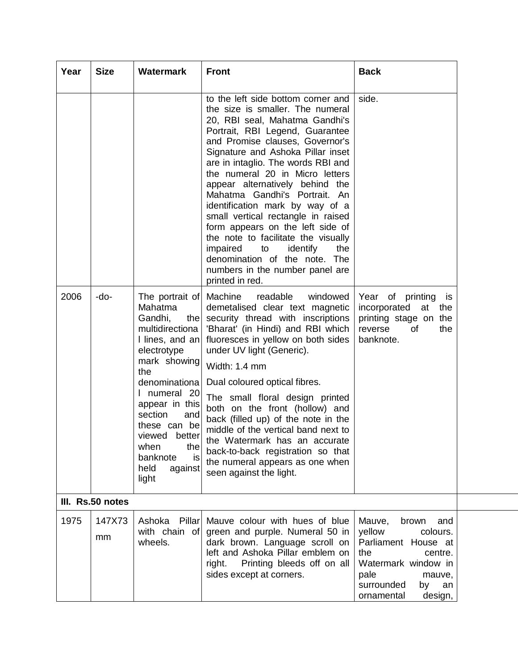| Year | <b>Size</b>                      | <b>Watermark</b>                                                                                                                                                                                                                                                                                    | <b>Front</b>                                                                                                                                                                                                                                                                                                                                                                                                                                                                                                                                                                                                                                     | <b>Back</b>                                                                                                                                                                       |
|------|----------------------------------|-----------------------------------------------------------------------------------------------------------------------------------------------------------------------------------------------------------------------------------------------------------------------------------------------------|--------------------------------------------------------------------------------------------------------------------------------------------------------------------------------------------------------------------------------------------------------------------------------------------------------------------------------------------------------------------------------------------------------------------------------------------------------------------------------------------------------------------------------------------------------------------------------------------------------------------------------------------------|-----------------------------------------------------------------------------------------------------------------------------------------------------------------------------------|
|      |                                  |                                                                                                                                                                                                                                                                                                     | to the left side bottom corner and<br>the size is smaller. The numeral<br>20, RBI seal, Mahatma Gandhi's<br>Portrait, RBI Legend, Guarantee<br>and Promise clauses, Governor's<br>Signature and Ashoka Pillar inset<br>are in intaglio. The words RBI and<br>the numeral 20 in Micro letters<br>appear alternatively behind the<br>Mahatma Gandhi's Portrait. An<br>identification mark by way of a<br>small vertical rectangle in raised<br>form appears on the left side of<br>the note to facilitate the visually<br>identify<br>impaired<br>to<br>the<br>denomination of the note. The<br>numbers in the number panel are<br>printed in red. | side.                                                                                                                                                                             |
| 2006 | -do-                             | The portrait of Machine<br>Mahatma<br>Gandhi,<br>the<br>multidirectiona<br>I lines, and an<br>electrotype<br>mark showing<br>the<br>denominationa<br>I numeral 20<br>appear in this<br>section<br>and<br>these can be<br>viewed better<br>when<br>the<br>banknote<br>is<br>held<br>against<br>light | readable<br>windowed<br>demetalised clear text magnetic<br>security thread with inscriptions<br>'Bharat' (in Hindi) and RBI which<br>fluoresces in yellow on both sides<br>under UV light (Generic).<br>Width: 1.4 mm<br>Dual coloured optical fibres.<br>The small floral design printed<br>both on the front (hollow) and<br>back (filled up) of the note in the<br>middle of the vertical band next to<br>the Watermark has an accurate<br>back-to-back registration so that<br>the numeral appears as one when<br>seen against the light.                                                                                                    | Year of printing<br>is<br>incorporated at the<br>printing stage on the<br>reverse<br>οf<br>the<br>banknote.                                                                       |
| 1975 | III. Rs.50 notes<br>147X73<br>mm | Ashoka<br>Pillar<br>with chain of<br>wheels.                                                                                                                                                                                                                                                        | Mauve colour with hues of blue<br>green and purple. Numeral 50 in<br>dark brown. Language scroll on<br>left and Ashoka Pillar emblem on<br>Printing bleeds off on all<br>right.<br>sides except at corners.                                                                                                                                                                                                                                                                                                                                                                                                                                      | Mauve,<br>brown<br>and<br>yellow<br>colours.<br>Parliament House at<br>the<br>centre.<br>Watermark window in<br>pale<br>mauve,<br>surrounded<br>by<br>an<br>ornamental<br>design, |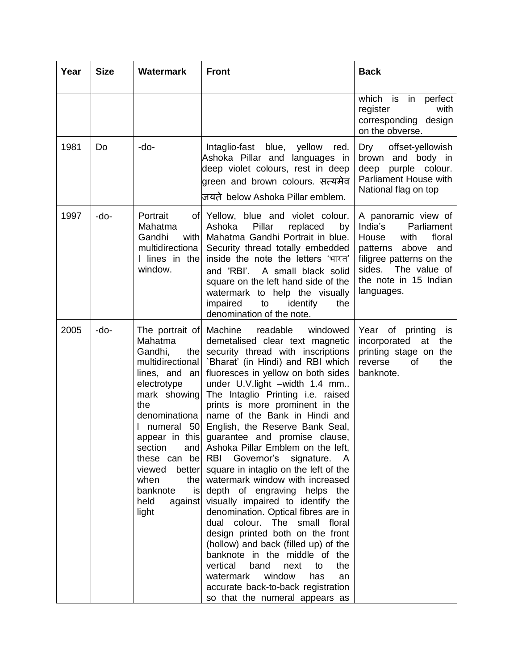| Year | <b>Size</b> | <b>Watermark</b>                                                                                                                                                                                                                                    | <b>Front</b>                                                                                                                                                                                                                                                                                                                                                                                                                                                                                                                                                                                                                                                                                                                                                                                                                                                                                                                                                                                     | <b>Back</b>                                                                                                                                                                                |
|------|-------------|-----------------------------------------------------------------------------------------------------------------------------------------------------------------------------------------------------------------------------------------------------|--------------------------------------------------------------------------------------------------------------------------------------------------------------------------------------------------------------------------------------------------------------------------------------------------------------------------------------------------------------------------------------------------------------------------------------------------------------------------------------------------------------------------------------------------------------------------------------------------------------------------------------------------------------------------------------------------------------------------------------------------------------------------------------------------------------------------------------------------------------------------------------------------------------------------------------------------------------------------------------------------|--------------------------------------------------------------------------------------------------------------------------------------------------------------------------------------------|
|      |             |                                                                                                                                                                                                                                                     |                                                                                                                                                                                                                                                                                                                                                                                                                                                                                                                                                                                                                                                                                                                                                                                                                                                                                                                                                                                                  | which is in perfect<br>register<br>with<br>corresponding design<br>on the obverse.                                                                                                         |
| 1981 | Do          | -do-                                                                                                                                                                                                                                                | Intaglio-fast blue, yellow<br>red.<br>Ashoka Pillar and languages in<br>deep violet colours, rest in deep<br>green and brown colours. सत्यमेव<br>जयते below Ashoka Pillar emblem.                                                                                                                                                                                                                                                                                                                                                                                                                                                                                                                                                                                                                                                                                                                                                                                                                | Dry<br>offset-yellowish<br>brown and body in<br>purple colour.<br>deep<br>Parliament House with<br>National flag on top                                                                    |
| 1997 | -do-        | Portrait<br>Mahatma<br>Gandhi<br>with<br>multidirectiona<br>I lines in the<br>window.                                                                                                                                                               | of Yellow, blue and violet colour.<br>Pillar<br>Ashoka<br>replaced<br>by<br>Mahatma Gandhi Portrait in blue.<br>Security thread totally embedded<br>inside the note the letters 'भारत'<br>and 'RBI'. A small black solid<br>square on the left hand side of the<br>watermark to help the visually<br>impaired<br>to<br>identify<br>the<br>denomination of the note.                                                                                                                                                                                                                                                                                                                                                                                                                                                                                                                                                                                                                              | A panoramic view of<br>India's<br>Parliament<br>floral<br>House<br>with<br>patterns above<br>and<br>filigree patterns on the<br>sides. The value of<br>the note in 15 Indian<br>languages. |
| 2005 | -do-        | The portrait of<br>Mahatma<br>Gandhi,<br>the<br>multidirectional<br>lines, and $an$<br>electrotype<br>mark showing<br>the<br>denominationa<br>numeral 50<br>section<br>these can be<br>viewed<br>better<br>when<br>the<br>banknote<br>held<br>light | Machine<br>readable<br>windowed<br>demetalised clear text magnetic<br>security thread with inscriptions<br>'Bharat' (in Hindi) and RBI which<br>fluoresces in yellow on both sides<br>under U.V.light -width 1.4 mm<br>The Intaglio Printing i.e. raised<br>prints is more prominent in the<br>name of the Bank in Hindi and<br>English, the Reserve Bank Seal,<br>appear in this guarantee and promise clause,<br>and Ashoka Pillar Emblem on the left,<br>RBI Governor's<br>signature. A<br>square in intaglio on the left of the<br>watermark window with increased<br>is depth of engraving helps the<br>against visually impaired to identify the<br>denomination. Optical fibres are in<br>dual colour. The small floral<br>design printed both on the front<br>(hollow) and back (filled up) of the<br>banknote in the middle of the<br>vertical<br>band<br>the<br>next<br>to<br>window<br>watermark<br>has<br>an<br>accurate back-to-back registration<br>so that the numeral appears as | Year of printing<br>is<br>incorporated<br>at<br>the<br>printing stage on the<br>reverse<br>0f<br>the<br>banknote.                                                                          |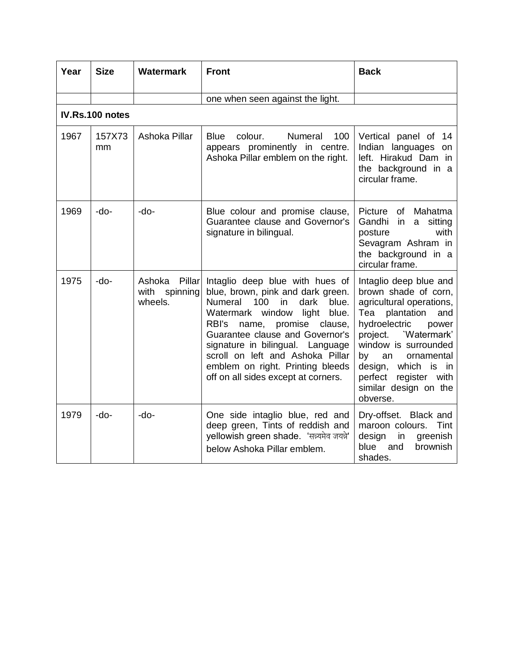| Year | <b>Size</b>     | <b>Watermark</b>                                | <b>Front</b>                                                                                                                                                                                                                                                                                                                                                                             | <b>Back</b>                                                                                                                                                                                                                                                                                              |
|------|-----------------|-------------------------------------------------|------------------------------------------------------------------------------------------------------------------------------------------------------------------------------------------------------------------------------------------------------------------------------------------------------------------------------------------------------------------------------------------|----------------------------------------------------------------------------------------------------------------------------------------------------------------------------------------------------------------------------------------------------------------------------------------------------------|
|      |                 |                                                 | one when seen against the light.                                                                                                                                                                                                                                                                                                                                                         |                                                                                                                                                                                                                                                                                                          |
|      | IV.Rs.100 notes |                                                 |                                                                                                                                                                                                                                                                                                                                                                                          |                                                                                                                                                                                                                                                                                                          |
| 1967 | 157X73<br>mm    | Ashoka Pillar                                   | Numeral<br><b>Blue</b><br>colour.<br>100<br>appears prominently in centre.<br>Ashoka Pillar emblem on the right.                                                                                                                                                                                                                                                                         | Vertical panel of 14<br>Indian languages<br>on<br>left. Hirakud Dam in<br>the background in a<br>circular frame.                                                                                                                                                                                         |
| 1969 | -do-            | -do-                                            | Blue colour and promise clause,<br>Guarantee clause and Governor's<br>signature in bilingual.                                                                                                                                                                                                                                                                                            | Picture<br>Mahatma<br>οf<br>Gandhi<br>in<br>sitting<br>a<br>with<br>posture<br>Sevagram Ashram in<br>the background in a<br>circular frame.                                                                                                                                                              |
| 1975 | -do-            | Ashoka<br>Pillar<br>spinning<br>with<br>wheels. | Intaglio deep blue with hues of<br>blue, brown, pink and dark green.<br><b>Numeral</b><br>100<br>in<br>dark<br>blue.<br>blue.<br>Watermark window<br>light<br>RBI's<br>promise<br>name,<br>clause,<br>Guarantee clause and Governor's<br>signature in bilingual. Language<br>scroll on left and Ashoka Pillar<br>emblem on right. Printing bleeds<br>off on all sides except at corners. | Intaglio deep blue and<br>brown shade of corn,<br>agricultural operations,<br>Tea<br>plantation<br>and<br>hydroelectric<br>power<br>'Watermark'<br>project.<br>window is surrounded<br>an<br>ornamental<br>by<br>which is in<br>design,<br>perfect<br>register with<br>similar design on the<br>obverse. |
| 1979 | $-do-$          | -do-                                            | One side intaglio blue, red and<br>deep green, Tints of reddish and<br>yellowish green shade. 'सन्न्यमेव जयन्ने'<br>below Ashoka Pillar emblem.                                                                                                                                                                                                                                          | Dry-offset. Black and<br>maroon colours.<br>Tint<br>design<br>in<br>greenish<br>blue<br>and<br>brownish<br>shades.                                                                                                                                                                                       |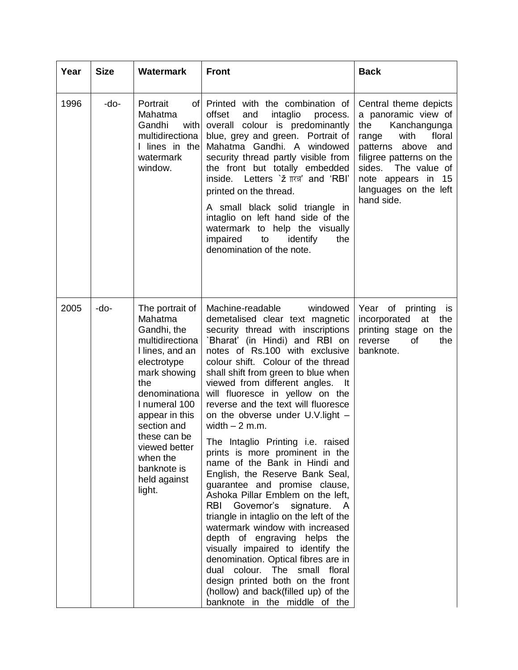| Year | <b>Size</b> | <b>Watermark</b>                                                                                                                                                                                                                                                               | <b>Front</b>                                                                                                                                                                                                                                                                                                                                                                                                                                                                                                                                                                                                                                                                                                                                                                                                                                                                                                                                                                                                           | <b>Back</b>                                                                                                                                                                                                                                |
|------|-------------|--------------------------------------------------------------------------------------------------------------------------------------------------------------------------------------------------------------------------------------------------------------------------------|------------------------------------------------------------------------------------------------------------------------------------------------------------------------------------------------------------------------------------------------------------------------------------------------------------------------------------------------------------------------------------------------------------------------------------------------------------------------------------------------------------------------------------------------------------------------------------------------------------------------------------------------------------------------------------------------------------------------------------------------------------------------------------------------------------------------------------------------------------------------------------------------------------------------------------------------------------------------------------------------------------------------|--------------------------------------------------------------------------------------------------------------------------------------------------------------------------------------------------------------------------------------------|
| 1996 | -do-        | Portrait<br>ofl<br>Mahatma<br>Gandhi<br>with<br>multidirectiona<br>I lines in the<br>watermark<br>window.                                                                                                                                                                      | Printed with the combination of<br>offset<br>intaglio<br>and<br>process.<br>overall colour is predominantly<br>blue, grey and green. Portrait of<br>Mahatma Gandhi. A windowed<br>security thread partly visible from<br>the front but totally embedded<br>inside. Letters ` $\check{z}$ $\vec{r}$ and 'RBI'<br>printed on the thread.<br>A small black solid triangle in<br>intaglio on left hand side of the<br>watermark to help the visually<br>impaired<br>identify<br>the<br>to<br>denomination of the note.                                                                                                                                                                                                                                                                                                                                                                                                                                                                                                     | Central theme depicts<br>a panoramic view of<br>the<br>Kanchangunga<br>floral<br>with<br>range<br>patterns above<br>and<br>filigree patterns on the<br>sides.<br>The value of<br>note appears in 15<br>languages on the left<br>hand side. |
| 2005 | -do-        | The portrait of<br>Mahatma<br>Gandhi, the<br>multidirectiona<br>I lines, and an<br>electrotype<br>mark showing<br>the<br>denominationa<br>I numeral 100<br>appear in this<br>section and<br>these can be<br>viewed better<br>when the<br>banknote is<br>held against<br>light. | Machine-readable<br>windowed<br>demetalised clear text magnetic<br>security thread with inscriptions<br>'Bharat' (in Hindi) and RBI on<br>notes of Rs.100 with exclusive<br>colour shift. Colour of the thread<br>shall shift from green to blue when<br>viewed from different angles. It<br>will fluoresce in yellow on the<br>reverse and the text will fluoresce<br>on the obverse under U.V. light -<br>width $-2$ m.m.<br>The Intaglio Printing i.e. raised<br>prints is more prominent in the<br>name of the Bank in Hindi and<br>English, the Reserve Bank Seal,<br>guarantee and promise clause,<br>Ashoka Pillar Emblem on the left,<br>RBI<br>Governor's signature. A<br>triangle in intaglio on the left of the<br>watermark window with increased<br>depth of engraving helps the<br>visually impaired to identify the<br>denomination. Optical fibres are in<br>dual colour. The small floral<br>design printed both on the front<br>(hollow) and back(filled up) of the<br>banknote in the middle of the | Year of printing<br>is<br>incorporated<br>at the<br>printing stage on the<br>the<br>reverse<br>Ωf<br>banknote.                                                                                                                             |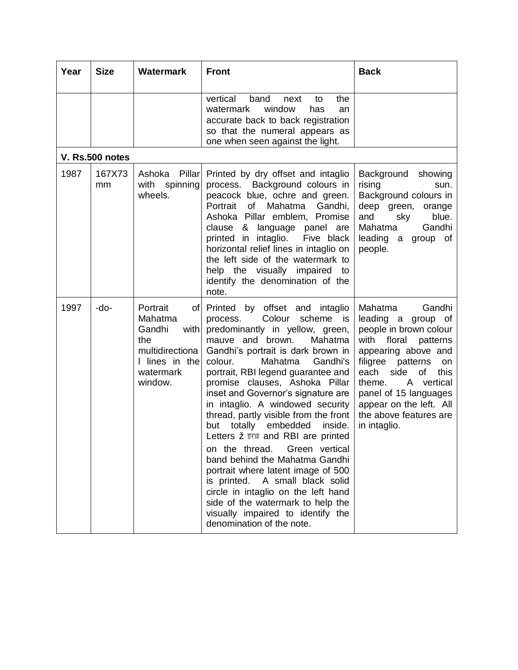| Year | <b>Size</b>     | <b>Watermark</b>                                                                                                  | <b>Front</b>                                                                                                                                                                                                                                                                                                                                                                                                                                                                                                                                                                                                                                                                                                                                                                                   | <b>Back</b>                                                                                                                                                                                                                                                                                                 |
|------|-----------------|-------------------------------------------------------------------------------------------------------------------|------------------------------------------------------------------------------------------------------------------------------------------------------------------------------------------------------------------------------------------------------------------------------------------------------------------------------------------------------------------------------------------------------------------------------------------------------------------------------------------------------------------------------------------------------------------------------------------------------------------------------------------------------------------------------------------------------------------------------------------------------------------------------------------------|-------------------------------------------------------------------------------------------------------------------------------------------------------------------------------------------------------------------------------------------------------------------------------------------------------------|
|      |                 |                                                                                                                   | vertical<br>band<br>the<br>next<br>to<br>window<br>watermark<br>has<br>an<br>accurate back to back registration<br>so that the numeral appears as<br>one when seen against the light.                                                                                                                                                                                                                                                                                                                                                                                                                                                                                                                                                                                                          |                                                                                                                                                                                                                                                                                                             |
|      | V. Rs.500 notes |                                                                                                                   |                                                                                                                                                                                                                                                                                                                                                                                                                                                                                                                                                                                                                                                                                                                                                                                                |                                                                                                                                                                                                                                                                                                             |
| 1987 | 167X73<br>mm    | Ashoka<br>Pillar<br>with spinning<br>wheels.                                                                      | Printed by dry offset and intaglio<br>process. Background colours in<br>peacock blue, ochre and green.<br>Portrait of Mahatma<br>Gandhi,<br>Ashoka Pillar emblem, Promise<br>clause & language panel are<br>printed in intaglio.<br>Five black<br>horizontal relief lines in intaglio on<br>the left side of the watermark to<br>help the visually impaired to<br>identify the denomination of the<br>note.                                                                                                                                                                                                                                                                                                                                                                                    | Background<br>showing<br>rising<br>sun.<br>Background colours in<br>deep green,<br>orange<br>and<br>sky<br>blue.<br>Gandhi<br>Mahatma<br>leading a group of<br>people.                                                                                                                                      |
| 1997 | -do-            | Portrait<br>of  <br>Mahatma<br>Gandhi<br>with<br>the<br>multidirectiona<br>I lines in the<br>watermark<br>window. | Printed by offset and intaglio<br>Colour<br>scheme is<br>process.<br>predominantly in yellow, green,<br>mauve and brown.<br>Mahatma<br>Gandhi's portrait is dark brown in<br>Mahatma<br>colour.<br>Gandhi's<br>portrait, RBI legend guarantee and<br>promise clauses, Ashoka Pillar<br>inset and Governor's signature are<br>in intaglio. A windowed security<br>thread, partly visible from the front<br>totally<br>embedded<br>inside.<br>but<br>Letters $\check{z}$ $\vec{r}$ and RBI are printed<br>on the thread. Green vertical<br>band behind the Mahatma Gandhi<br>portrait where latent image of 500<br>is printed. A small black solid<br>circle in intaglio on the left hand<br>side of the watermark to help the<br>visually impaired to identify the<br>denomination of the note. | Gandhi<br>Mahatma<br>leading a<br>group of<br>people in brown colour<br>with floral<br>patterns<br>appearing above and<br>filigree<br>patterns<br>on<br>each<br>side<br>of<br>this<br>vertical<br>theme.<br>A<br>panel of 15 languages<br>appear on the left. All<br>the above features are<br>in intaglio. |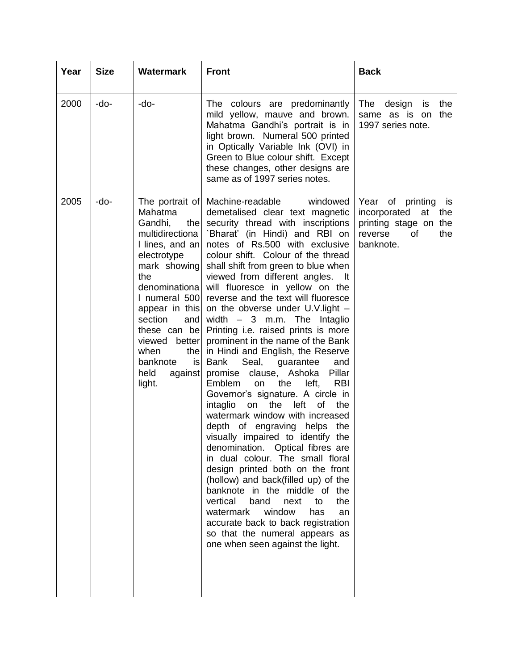| Year | <b>Size</b> | <b>Watermark</b>                                                                                                                                                                                                                                                            | <b>Front</b>                                                                                                                                                                                                                                                                                                                                                                                                                                                                                                                                                                                                                                                                                                                                                                                                                                                                                                                                                                                                                                                                                                                                                                                                                                                                               | <b>Back</b>                                                                                                          |
|------|-------------|-----------------------------------------------------------------------------------------------------------------------------------------------------------------------------------------------------------------------------------------------------------------------------|--------------------------------------------------------------------------------------------------------------------------------------------------------------------------------------------------------------------------------------------------------------------------------------------------------------------------------------------------------------------------------------------------------------------------------------------------------------------------------------------------------------------------------------------------------------------------------------------------------------------------------------------------------------------------------------------------------------------------------------------------------------------------------------------------------------------------------------------------------------------------------------------------------------------------------------------------------------------------------------------------------------------------------------------------------------------------------------------------------------------------------------------------------------------------------------------------------------------------------------------------------------------------------------------|----------------------------------------------------------------------------------------------------------------------|
| 2000 | -do-        | -do-                                                                                                                                                                                                                                                                        | The colours are predominantly<br>mild yellow, mauve and brown.<br>Mahatma Gandhi's portrait is in<br>light brown. Numeral 500 printed<br>in Optically Variable Ink (OVI) in<br>Green to Blue colour shift. Except<br>these changes, other designs are<br>same as of 1997 series notes.                                                                                                                                                                                                                                                                                                                                                                                                                                                                                                                                                                                                                                                                                                                                                                                                                                                                                                                                                                                                     | The<br>design<br>the<br>is<br>same as is<br>the<br>on<br>1997 series note.                                           |
| 2005 | -do-        | Mahatma<br>Gandhi,<br>the<br>multidirectiona<br>I lines, and an<br>electrotype<br>mark showing<br>the<br>denominational<br>I numeral 500<br>appear in this<br>section<br>and<br>these can be<br>viewed better<br>when<br>the<br>banknote<br>is<br>held<br>against<br>light. | The portrait of Machine-readable<br>windowed<br>demetalised clear text magnetic<br>security thread with inscriptions<br>`Bharat' (in Hindi) and RBI on<br>notes of Rs.500 with exclusive<br>colour shift. Colour of the thread<br>shall shift from green to blue when<br>viewed from different angles. It<br>will fluoresce in yellow on the<br>reverse and the text will fluoresce<br>on the obverse under U.V. light -<br>width $-$ 3 m.m. The Intaglio<br>Printing i.e. raised prints is more<br>prominent in the name of the Bank<br>in Hindi and English, the Reserve<br>Seal,<br><b>Bank</b><br>guarantee<br>and<br>Pillar<br>promise clause, Ashoka<br><b>RBI</b><br>Emblem<br>the<br>left,<br>on<br>Governor's signature. A circle in<br>the<br>left<br>intaglio<br><b>of</b><br>the<br>on<br>watermark window with increased<br>depth of engraving helps<br>the<br>visually impaired to identify the<br>denomination. Optical fibres are<br>in dual colour. The small floral<br>design printed both on the front<br>(hollow) and back(filled up) of the<br>banknote in the middle of the<br>vertical<br>band<br>next<br>to<br>the<br>watermark<br>window<br>has<br>an<br>accurate back to back registration<br>so that the numeral appears as<br>one when seen against the light. | Year of printing<br>is is<br>incorporated<br>at<br>the<br>printing stage on the<br>0f<br>the<br>reverse<br>banknote. |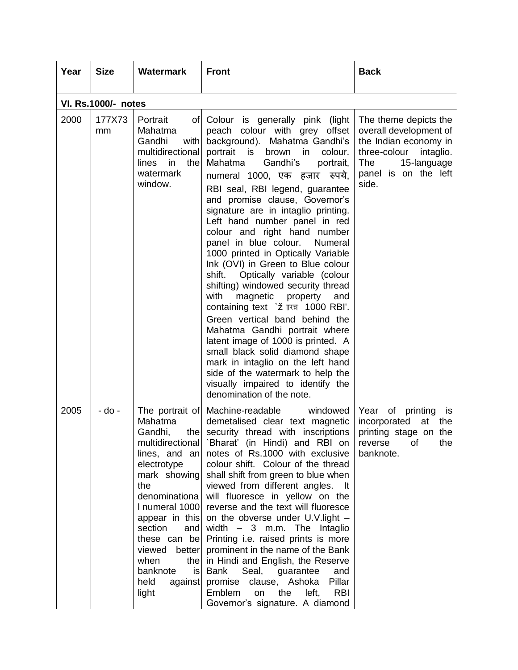| Year | <b>Size</b>                | <b>Watermark</b>                                                                                                                                                                                                                                                      | <b>Front</b>                                                                                                                                                                                                                                                                                                                                                                                                                                                                                                                                                                                                                                                                                                                                                                                                                                                                                                                                                           | <b>Back</b>                                                                                                                                                         |  |  |  |
|------|----------------------------|-----------------------------------------------------------------------------------------------------------------------------------------------------------------------------------------------------------------------------------------------------------------------|------------------------------------------------------------------------------------------------------------------------------------------------------------------------------------------------------------------------------------------------------------------------------------------------------------------------------------------------------------------------------------------------------------------------------------------------------------------------------------------------------------------------------------------------------------------------------------------------------------------------------------------------------------------------------------------------------------------------------------------------------------------------------------------------------------------------------------------------------------------------------------------------------------------------------------------------------------------------|---------------------------------------------------------------------------------------------------------------------------------------------------------------------|--|--|--|
|      | <b>VI. Rs.1000/- notes</b> |                                                                                                                                                                                                                                                                       |                                                                                                                                                                                                                                                                                                                                                                                                                                                                                                                                                                                                                                                                                                                                                                                                                                                                                                                                                                        |                                                                                                                                                                     |  |  |  |
| 2000 | 177X73<br>mm               | Portrait<br>Mahatma<br>Gandhi<br>with<br>multidirectional<br>in<br>the<br>lines<br>watermark<br>window.                                                                                                                                                               | of Colour is generally pink (light<br>peach colour with grey offset<br>background). Mahatma Gandhi's<br>portrait is<br>brown<br>colour.<br>in.<br>Mahatma<br>Gandhi's<br>portrait,<br>numeral 1000, एक हजार<br>रुपये.<br>RBI seal, RBI legend, guarantee<br>and promise clause, Governor's<br>signature are in intaglio printing.<br>Left hand number panel in red<br>colour and right hand number<br>panel in blue colour.<br>Numeral<br>1000 printed in Optically Variable<br>Ink (OVI) in Green to Blue colour<br>Optically variable (colour<br>shift.<br>shifting) windowed security thread<br>with<br>magnetic<br>property<br>and<br>containing text ` टॅ ारज़ 1000 RBI'.<br>Green vertical band behind the<br>Mahatma Gandhi portrait where<br>latent image of 1000 is printed. A<br>small black solid diamond shape<br>mark in intaglio on the left hand<br>side of the watermark to help the<br>visually impaired to identify the<br>denomination of the note. | The theme depicts the<br>overall development of<br>the Indian economy in<br>three-colour<br>intaglio.<br><b>The</b><br>15-language<br>panel is on the left<br>side. |  |  |  |
| 2005 | - do -                     | The portrait of<br>Mahatma<br>Gandhi,<br>lines, and an<br>electrotype<br>mark showing<br>the<br>denominationa<br>I numeral 1000<br>appear in this<br>section<br>and<br>these can be<br>viewed<br>better<br>when<br>the<br>banknote<br>isl<br>held<br>against<br>light | Machine-readable<br>windowed<br>demetalised clear text magnetic<br>the security thread with inscriptions<br>multidirectional 'Bharat' (in Hindi) and RBI on<br>notes of Rs.1000 with exclusive<br>colour shift. Colour of the thread<br>shall shift from green to blue when<br>viewed from different angles. It<br>will fluoresce in yellow on the<br>reverse and the text will fluoresce<br>on the obverse under U.V. light -<br>width $-3$ m.m. The Intaglio<br>Printing i.e. raised prints is more<br>prominent in the name of the Bank<br>in Hindi and English, the Reserve<br>Seal, guarantee<br>Bank<br>and<br>promise clause, Ashoka<br>Pillar<br>Emblem<br>the<br><b>RBI</b><br>on<br>left,<br>Governor's signature. A diamond                                                                                                                                                                                                                                 | Year of printing<br>is<br>incorporated<br>at<br>the<br>printing stage on the<br>the<br>reverse<br>0t<br>banknote.                                                   |  |  |  |